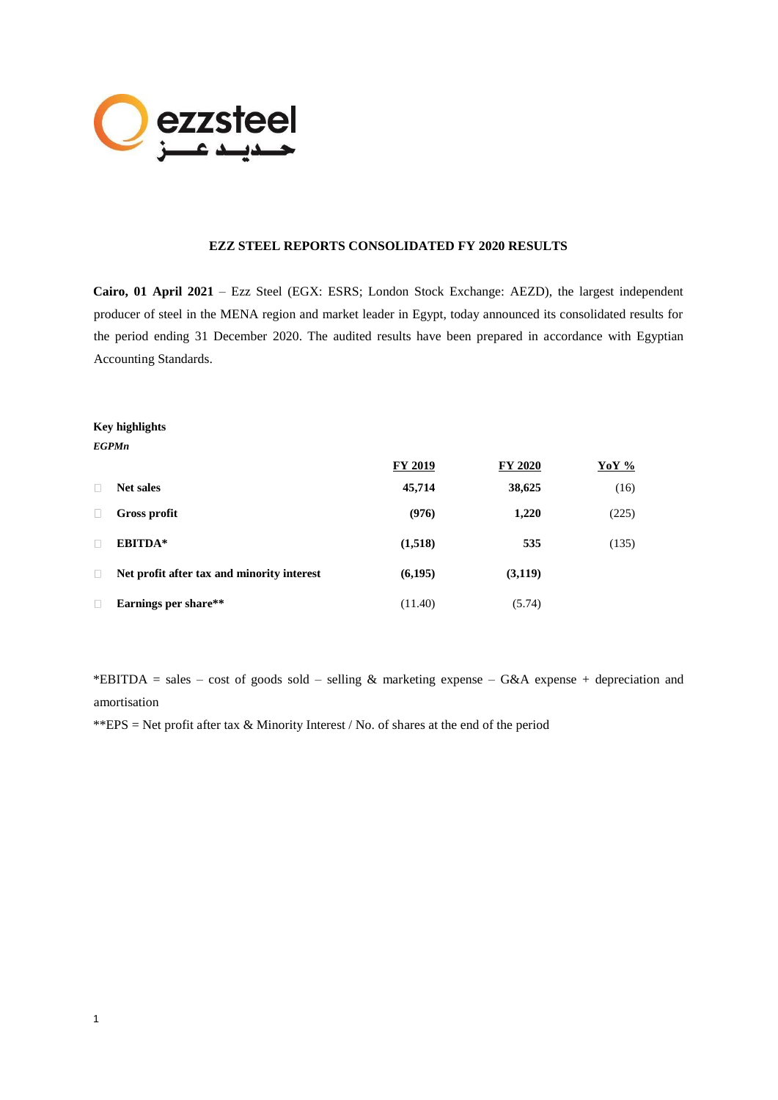

#### **EZZ STEEL REPORTS CONSOLIDATED FY 2020 RESULTS**

**Cairo, 01 April 2021** – Ezz Steel (EGX: ESRS; London Stock Exchange: AEZD), the largest independent producer of steel in the MENA region and market leader in Egypt, today announced its consolidated results for the period ending 31 December 2020. The audited results have been prepared in accordance with Egyptian Accounting Standards.

## **Key highlights**  *EGPMn*

1

|        |                                            | <b>FY 2019</b> | <b>FY 2020</b> | <b>YoY</b> % |
|--------|--------------------------------------------|----------------|----------------|--------------|
|        | <b>Net sales</b>                           | 45,714         | 38,625         | (16)         |
|        | Gross profit                               | (976)          | 1,220          | (225)        |
|        | EBITDA*                                    | (1,518)        | 535            | (135)        |
| $\Box$ | Net profit after tax and minority interest | (6,195)        | (3,119)        |              |
|        | Earnings per share**                       | (11.40)        | (5.74)         |              |

\*EBITDA = sales – cost of goods sold – selling & marketing expense – G&A expense + depreciation and amortisation

\*\*EPS = Net profit after tax  $\&$  Minority Interest / No. of shares at the end of the period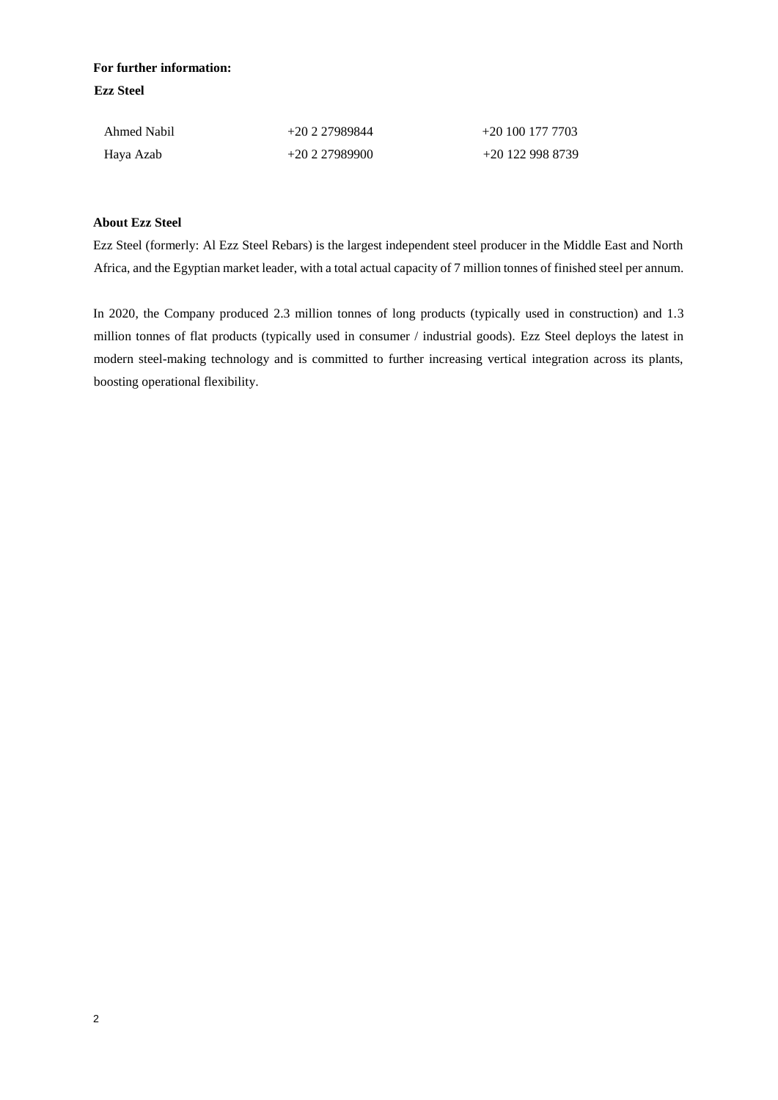# **For further information: Ezz Steel**

| Ahmed Nabil | $+20227989844$ | $+201001777703$  |
|-------------|----------------|------------------|
| Haya Azab   | $+20227989900$ | +20 122 998 8739 |

## **About Ezz Steel**

Ezz Steel (formerly: Al Ezz Steel Rebars) is the largest independent steel producer in the Middle East and North Africa, and the Egyptian market leader, with a total actual capacity of 7 million tonnes of finished steel per annum.

In 2020, the Company produced 2.3 million tonnes of long products (typically used in construction) and 1.3 million tonnes of flat products (typically used in consumer / industrial goods). Ezz Steel deploys the latest in modern steel-making technology and is committed to further increasing vertical integration across its plants, boosting operational flexibility.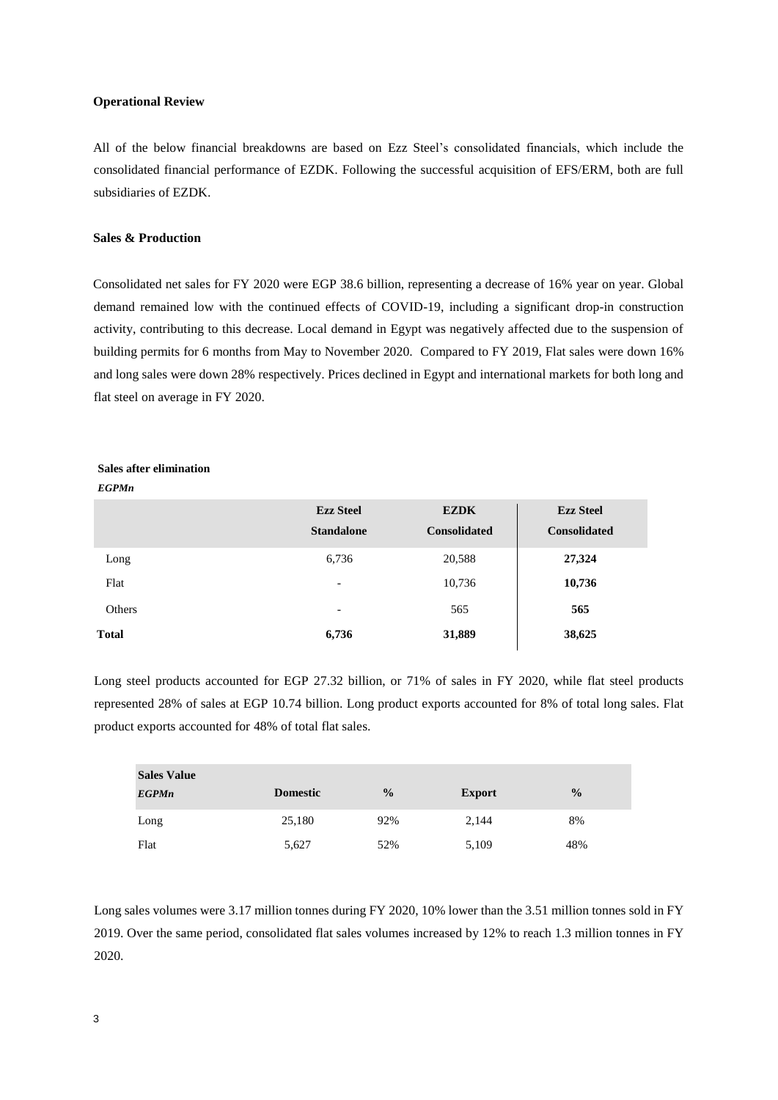#### **Operational Review**

All of the below financial breakdowns are based on Ezz Steel's consolidated financials, which include the consolidated financial performance of EZDK. Following the successful acquisition of EFS/ERM, both are full subsidiaries of EZDK.

#### **Sales & Production**

Consolidated net sales for FY 2020 were EGP 38.6 billion, representing a decrease of 16% year on year. Global demand remained low with the continued effects of COVID-19, including a significant drop-in construction activity, contributing to this decrease. Local demand in Egypt was negatively affected due to the suspension of building permits for 6 months from May to November 2020. Compared to FY 2019, Flat sales were down 16% and long sales were down 28% respectively. Prices declined in Egypt and international markets for both long and flat steel on average in FY 2020.

## **Sales after elimination**

*EGPMn*

|              | <b>Ezz Steel</b><br><b>Standalone</b> | <b>EZDK</b><br><b>Consolidated</b> | <b>Ezz Steel</b><br><b>Consolidated</b> |
|--------------|---------------------------------------|------------------------------------|-----------------------------------------|
| Long         | 6,736                                 | 20,588                             | 27,324                                  |
| Flat         | $\overline{\phantom{a}}$              | 10,736                             | 10,736                                  |
| Others       | $\overline{\phantom{0}}$              | 565                                | 565                                     |
| <b>Total</b> | 6,736                                 | 31,889                             | 38,625                                  |

Long steel products accounted for EGP 27.32 billion, or 71% of sales in FY 2020, while flat steel products represented 28% of sales at EGP 10.74 billion. Long product exports accounted for 8% of total long sales. Flat product exports accounted for 48% of total flat sales.

| <b>Sales Value</b> |                 |               |               |               |
|--------------------|-----------------|---------------|---------------|---------------|
| <b>EGPMn</b>       | <b>Domestic</b> | $\frac{0}{0}$ | <b>Export</b> | $\frac{0}{0}$ |
| Long               | 25,180          | 92%           | 2,144         | 8%            |
| Flat               | 5,627           | 52%           | 5,109         | 48%           |

Long sales volumes were 3.17 million tonnes during FY 2020, 10% lower than the 3.51 million tonnes sold in FY 2019. Over the same period, consolidated flat sales volumes increased by 12% to reach 1.3 million tonnes in FY 2020.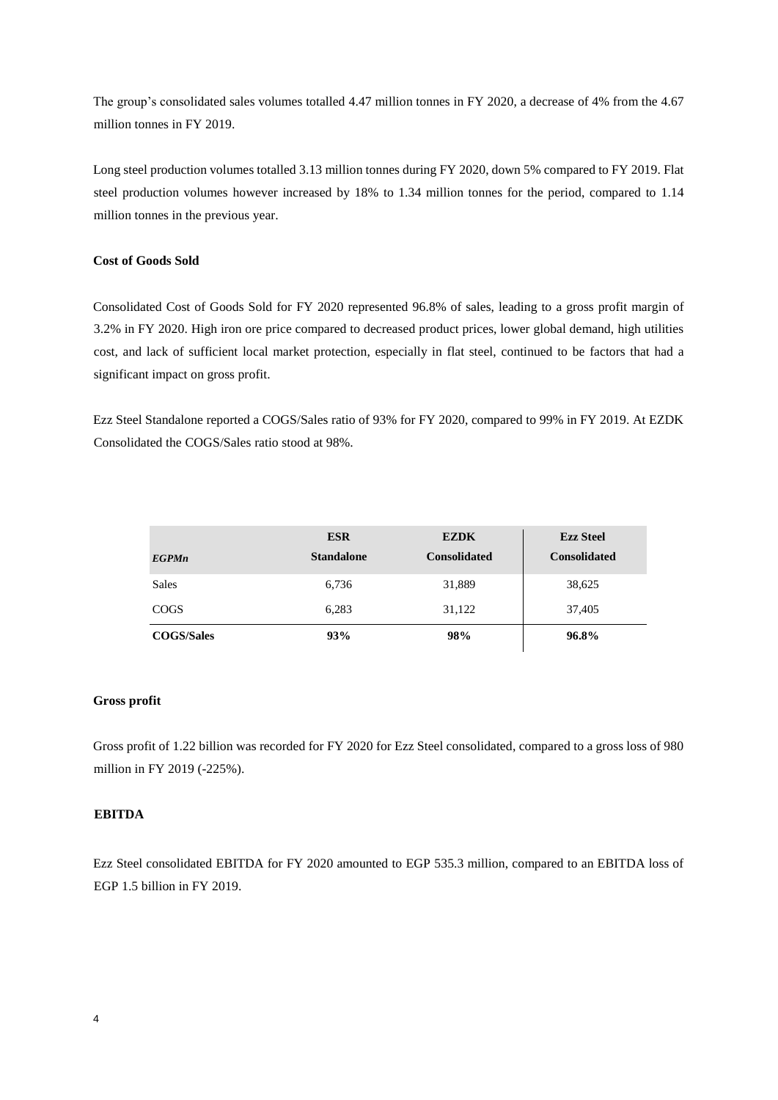The group's consolidated sales volumes totalled 4.47 million tonnes in FY 2020, a decrease of 4% from the 4.67 million tonnes in FY 2019.

Long steel production volumes totalled 3.13 million tonnes during FY 2020, down 5% compared to FY 2019. Flat steel production volumes however increased by 18% to 1.34 million tonnes for the period, compared to 1.14 million tonnes in the previous year.

#### **Cost of Goods Sold**

Consolidated Cost of Goods Sold for FY 2020 represented 96.8% of sales, leading to a gross profit margin of 3.2% in FY 2020. High iron ore price compared to decreased product prices, lower global demand, high utilities cost, and lack of sufficient local market protection, especially in flat steel, continued to be factors that had a significant impact on gross profit.

Ezz Steel Standalone reported a COGS/Sales ratio of 93% for FY 2020, compared to 99% in FY 2019. At EZDK Consolidated the COGS/Sales ratio stood at 98%.

|                   | <b>ESR</b>        | <b>EZDK</b>         | <b>Ezz Steel</b>    |
|-------------------|-------------------|---------------------|---------------------|
| <b>EGPMn</b>      | <b>Standalone</b> | <b>Consolidated</b> | <b>Consolidated</b> |
| <b>Sales</b>      | 6,736             | 31,889              | 38,625              |
| <b>COGS</b>       | 6,283             | 31,122              | 37,405              |
| <b>COGS/Sales</b> | 93%               | 98%                 | 96.8%               |

#### **Gross profit**

Gross profit of 1.22 billion was recorded for FY 2020 for Ezz Steel consolidated, compared to a gross loss of 980 million in FY 2019 (-225%).

#### **EBITDA**

Ezz Steel consolidated EBITDA for FY 2020 amounted to EGP 535.3 million, compared to an EBITDA loss of EGP 1.5 billion in FY 2019.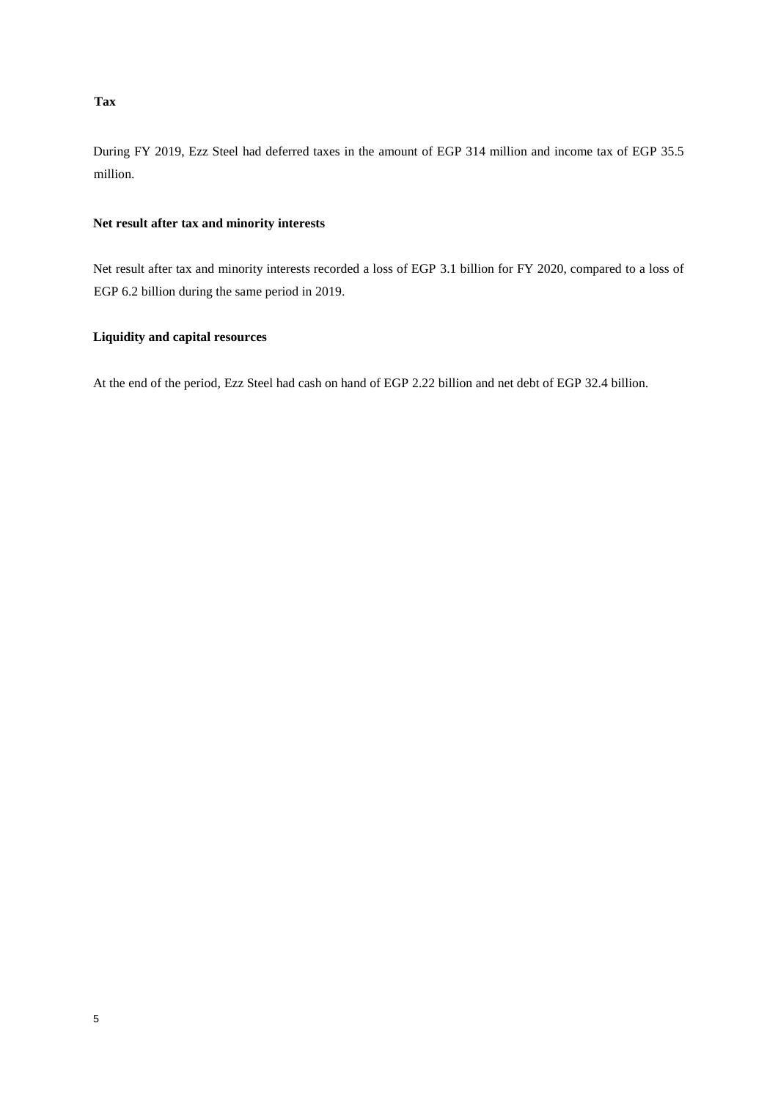## **Tax**

During FY 2019, Ezz Steel had deferred taxes in the amount of EGP 314 million and income tax of EGP 35.5 million.

## **Net result after tax and minority interests**

Net result after tax and minority interests recorded a loss of EGP 3.1 billion for FY 2020, compared to a loss of EGP 6.2 billion during the same period in 2019.

## **Liquidity and capital resources**

At the end of the period, Ezz Steel had cash on hand of EGP 2.22 billion and net debt of EGP 32.4 billion.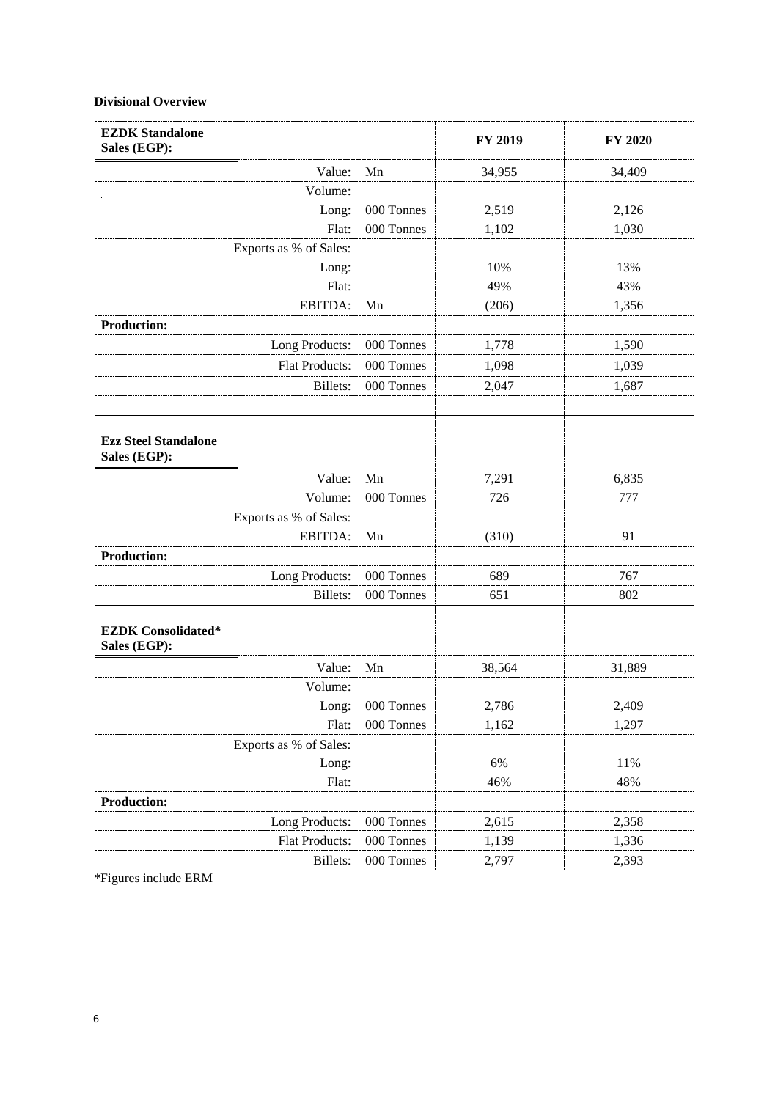## **Divisional Overview**

| <b>EZDK Standalone</b><br>Sales (EGP):      |            | FY 2019 | FY 2020 |
|---------------------------------------------|------------|---------|---------|
| Value:                                      | Mn         | 34,955  | 34,409  |
| Volume:                                     |            |         |         |
| Long:                                       | 000 Tonnes | 2,519   | 2,126   |
| Flat:                                       | 000 Tonnes | 1,102   | 1,030   |
| Exports as % of Sales:                      |            |         |         |
| Long:                                       |            | 10%     | 13%     |
| Flat:                                       |            | 49%     | 43%     |
| EBITDA:                                     | Mn         | (206)   | 1,356   |
| <b>Production:</b>                          |            |         |         |
| Long Products:                              | 000 Tonnes | 1,778   | 1,590   |
| <b>Flat Products:</b>                       | 000 Tonnes | 1,098   | 1,039   |
| Billets:                                    | 000 Tonnes | 2,047   | 1,687   |
|                                             |            |         |         |
| <b>Ezz Steel Standalone</b><br>Sales (EGP): |            |         |         |
| Value:                                      | Mn         | 7,291   | 6,835   |
| Volume:                                     | 000 Tonnes | 726     | 777     |
| Exports as % of Sales:                      |            |         |         |
| EBITDA:                                     | Mn         | (310)   | 91      |
| <b>Production:</b>                          |            |         |         |
| Long Products:                              | 000 Tonnes | 689     | 767     |
| Billets:                                    | 000 Tonnes | 651     | 802     |
| <b>EZDK</b> Consolidated*<br>Sales (EGP):   |            |         |         |
| Value:                                      | Mn         | 38,564  | 31,889  |
| Volume:                                     |            |         |         |
| Long:                                       | 000 Tonnes | 2,786   | 2,409   |
| Flat:                                       | 000 Tonnes | 1,162   | 1,297   |
| Exports as % of Sales:                      |            |         |         |
| Long:                                       |            | 6%      | 11%     |
| Flat:                                       |            | 46%     | 48%     |
| <b>Production:</b>                          |            |         |         |
| Long Products:                              | 000 Tonnes | 2,615   | 2,358   |
| Flat Products:                              | 000 Tonnes | 1,139   | 1,336   |
| Billets:                                    | 000 Tonnes | 2,797   | 2,393   |

\*Figures include ERM